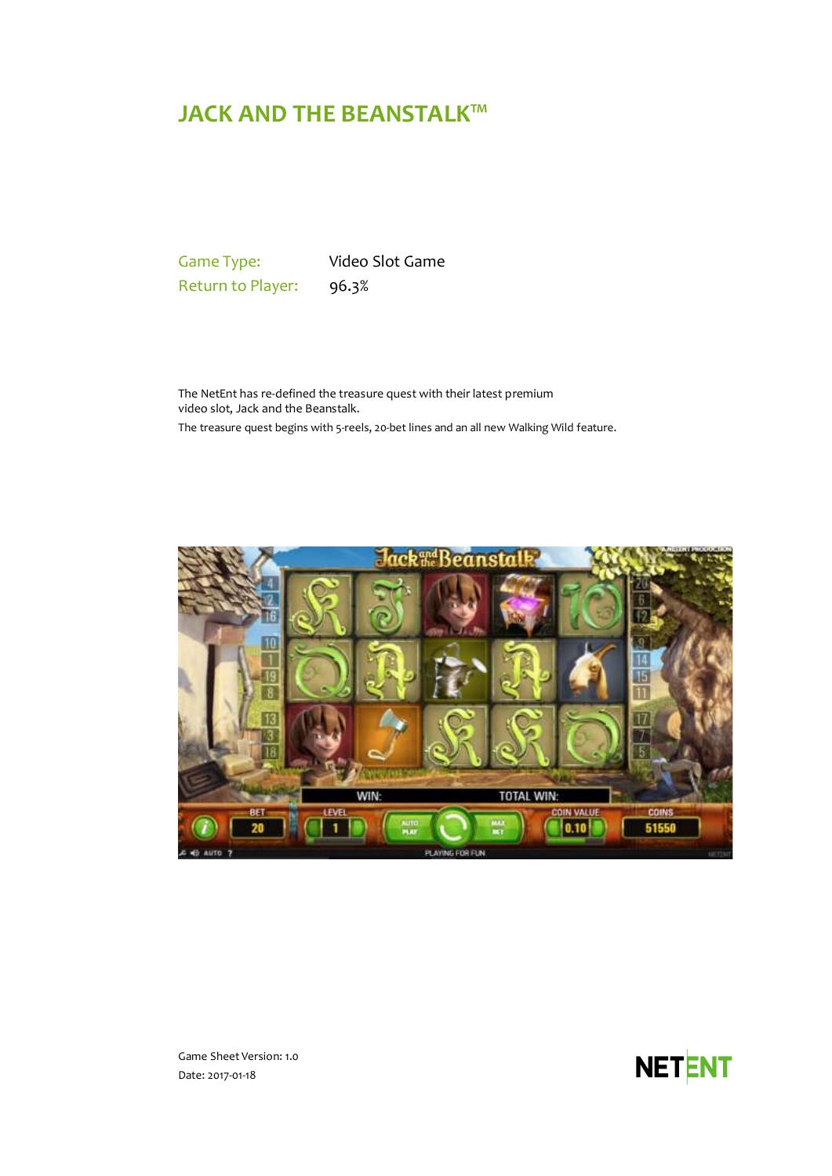# **JACK AND THE BEANSTALK™**

Game Type: Video Slot Game Return to Player: 96.3%

The NetEnt has re-defined the treasure quest with their latest premium video slot, Jack and the Beanstalk.

The treasure quest begins with 5-reels, 20-bet lines and an all new Walking Wild feature.



Game Sheet Version: 1.0 Date: 2017-01-18

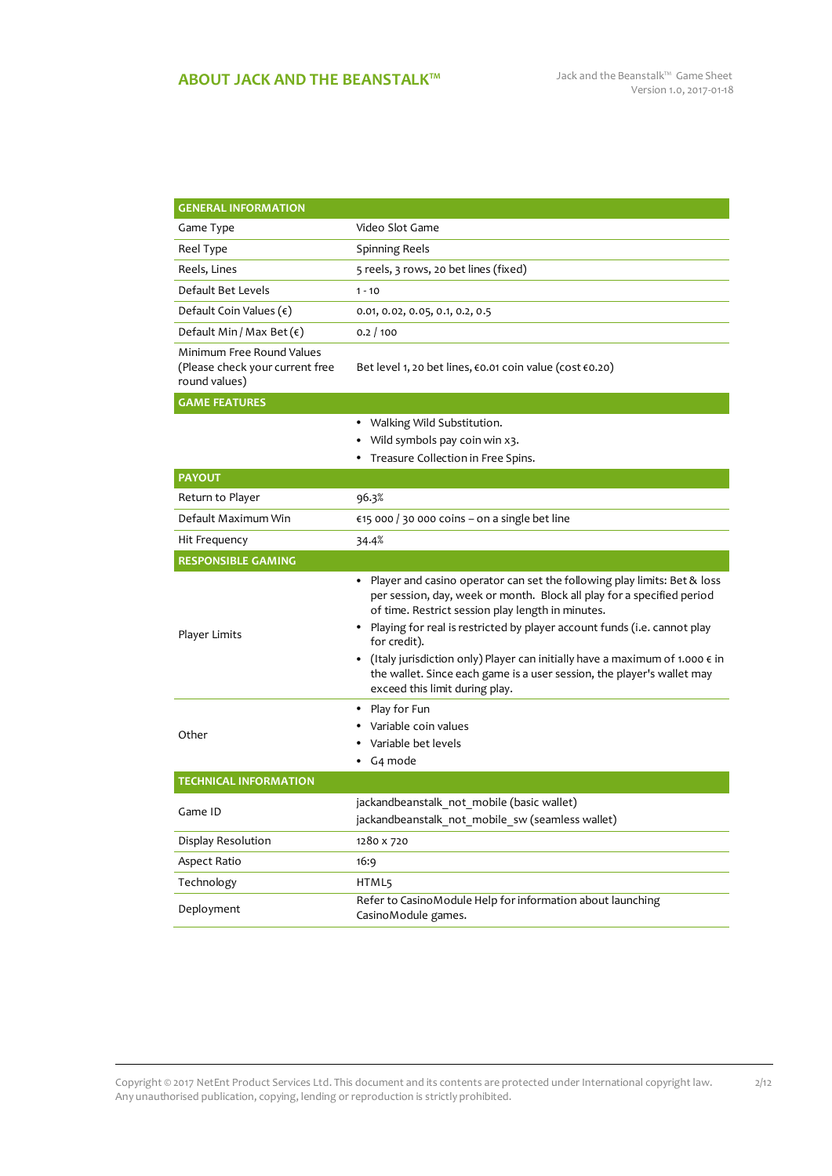| <b>GENERAL INFORMATION</b>                                                    |                                                                                                                                                                                                                                                                                                                                                                                                                                                                                                               |  |
|-------------------------------------------------------------------------------|---------------------------------------------------------------------------------------------------------------------------------------------------------------------------------------------------------------------------------------------------------------------------------------------------------------------------------------------------------------------------------------------------------------------------------------------------------------------------------------------------------------|--|
| Game Type                                                                     | Video Slot Game                                                                                                                                                                                                                                                                                                                                                                                                                                                                                               |  |
| Reel Type                                                                     | <b>Spinning Reels</b>                                                                                                                                                                                                                                                                                                                                                                                                                                                                                         |  |
| Reels, Lines                                                                  | 5 reels, 3 rows, 20 bet lines (fixed)                                                                                                                                                                                                                                                                                                                                                                                                                                                                         |  |
| Default Bet Levels                                                            | $1 - 10$                                                                                                                                                                                                                                                                                                                                                                                                                                                                                                      |  |
| Default Coin Values $(\epsilon)$                                              | 0.01, 0.02, 0.05, 0.1, 0.2, 0.5                                                                                                                                                                                                                                                                                                                                                                                                                                                                               |  |
| Default Min / Max Bet $(\epsilon)$                                            | 0.2 / 100                                                                                                                                                                                                                                                                                                                                                                                                                                                                                                     |  |
| Minimum Free Round Values<br>(Please check your current free<br>round values) | Bet level 1, 20 bet lines, €0.01 coin value (cost €0.20)                                                                                                                                                                                                                                                                                                                                                                                                                                                      |  |
| <b>GAME FEATURES</b>                                                          |                                                                                                                                                                                                                                                                                                                                                                                                                                                                                                               |  |
|                                                                               | • Walking Wild Substitution.                                                                                                                                                                                                                                                                                                                                                                                                                                                                                  |  |
|                                                                               | Wild symbols pay coin win x3.                                                                                                                                                                                                                                                                                                                                                                                                                                                                                 |  |
|                                                                               | Treasure Collection in Free Spins.                                                                                                                                                                                                                                                                                                                                                                                                                                                                            |  |
| <b>PAYOUT</b>                                                                 |                                                                                                                                                                                                                                                                                                                                                                                                                                                                                                               |  |
| Return to Player                                                              | 96.3%                                                                                                                                                                                                                                                                                                                                                                                                                                                                                                         |  |
| Default Maximum Win                                                           | €15 000 / 30 000 coins – on a single bet line                                                                                                                                                                                                                                                                                                                                                                                                                                                                 |  |
| Hit Frequency                                                                 | 34.4%                                                                                                                                                                                                                                                                                                                                                                                                                                                                                                         |  |
| <b>RESPONSIBLE GAMING</b>                                                     |                                                                                                                                                                                                                                                                                                                                                                                                                                                                                                               |  |
| Player Limits                                                                 | • Player and casino operator can set the following play limits: Bet & loss<br>per session, day, week or month. Block all play for a specified period<br>of time. Restrict session play length in minutes.<br>• Playing for real is restricted by player account funds (i.e. cannot play<br>for credit).<br>• (Italy jurisdiction only) Player can initially have a maximum of 1.000 $\epsilon$ in<br>the wallet. Since each game is a user session, the player's wallet may<br>exceed this limit during play. |  |
| Other                                                                         | • Play for Fun<br>Variable coin values<br>Variable bet levels<br>G <sub>4</sub> mode                                                                                                                                                                                                                                                                                                                                                                                                                          |  |
| <b>TECHNICAL INFORMATION</b>                                                  |                                                                                                                                                                                                                                                                                                                                                                                                                                                                                                               |  |
| Game ID                                                                       | jackandbeanstalk_not_mobile (basic wallet)<br>jackandbeanstalk not mobile sw (seamless wallet)                                                                                                                                                                                                                                                                                                                                                                                                                |  |
| Display Resolution                                                            | 1280 x 720                                                                                                                                                                                                                                                                                                                                                                                                                                                                                                    |  |
| Aspect Ratio                                                                  | 16:9                                                                                                                                                                                                                                                                                                                                                                                                                                                                                                          |  |
| Technology                                                                    | HTML5                                                                                                                                                                                                                                                                                                                                                                                                                                                                                                         |  |
| Deployment                                                                    | Refer to CasinoModule Help for information about launching<br>CasinoModule games.                                                                                                                                                                                                                                                                                                                                                                                                                             |  |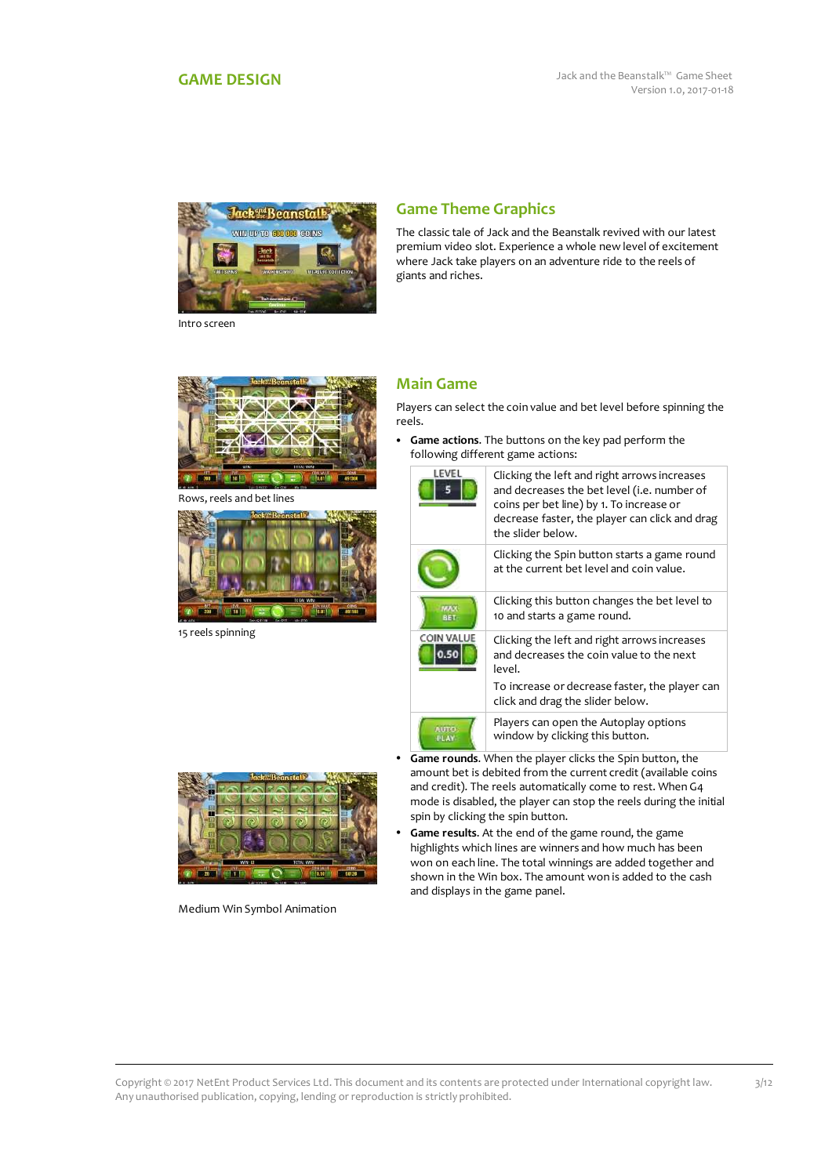<span id="page-2-0"></span>

Intro screen

# **Game Theme Graphics**

The classic tale of Jack and the Beanstalk revived with our latest premium video slot. Experience a whole new level of excitement where Jack take players on an adventure ride to the reels of giants and riches.



Rows, reels and bet lines



15 reels spinning



Medium Win Symbol Animation

# **Main Game**

Players can select the coin value and bet level before spinning the reels.

 **Game actions**. The buttons on the key pad perform the following different game actions:



AUTO<br>PLAY

decrease faster, the player can click and drag the slider below. Clicking the Spin button starts a game round at the current bet level and coin value. Clicking this button changes the bet level to 10 and starts a game round. Clicking the left and right arrows increases and decreases the coin value to the next level. To increase or decrease faster, the player can

click and drag the slider below. Players can open the Autoplay options window by clicking this button.

- **Game rounds**. When the player clicks the Spin button, the amount bet is debited from the current credit (available coins and credit). The reels automatically come to rest. When G4 mode is disabled, the player can stop the reels during the initial spin by clicking the spin button.
- **Game results**. At the end of the game round, the game highlights which lines are winners and how much has been won on each line. The total winnings are added together and shown in the Win box. The amount won is added to the cash and displays in the game panel.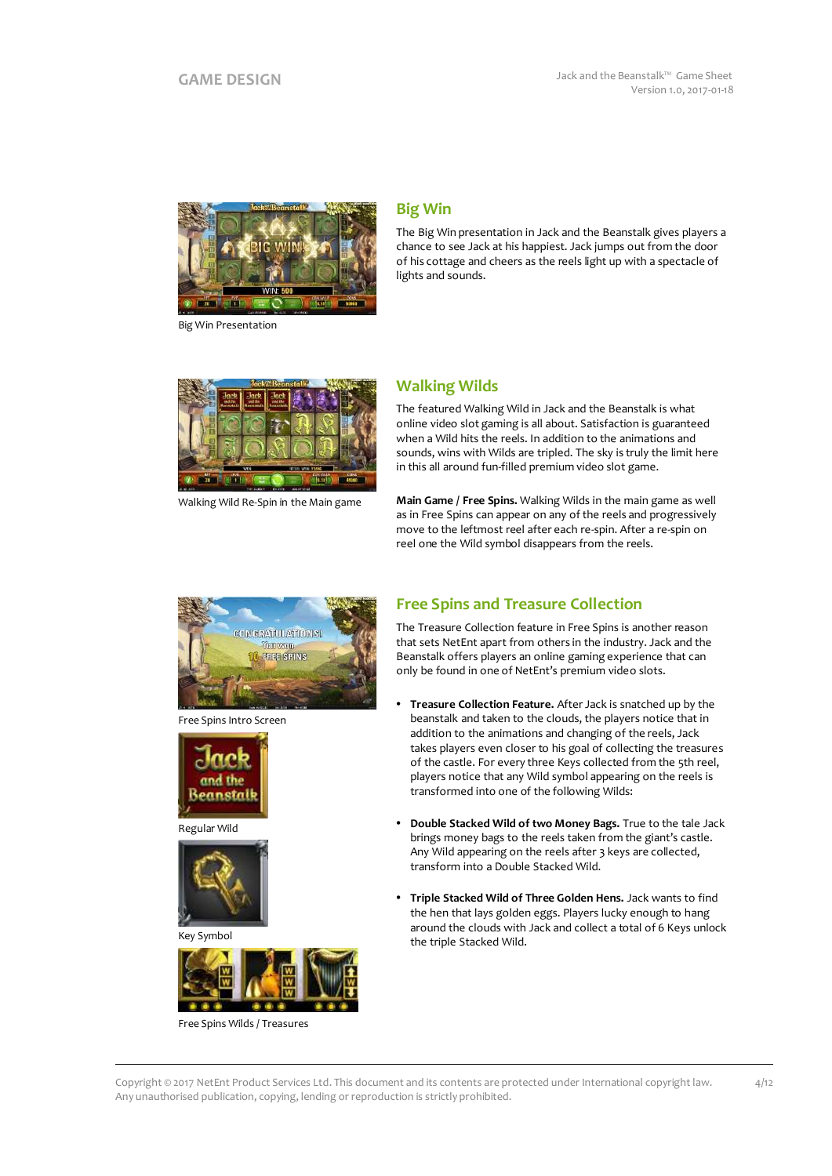

Big Win Presentation

# **Big Win**

The Big Win presentation in Jack and the Beanstalk gives players a chance to see Jack at his happiest. Jack jumps out from the door of his cottage and cheers as the reels light up with a spectacle of lights and sounds.



Walking Wild Re-Spin in the Main game

# **Walking Wilds**

The featured Walking Wild in Jack and the Beanstalk is what online video slot gaming is all about. Satisfaction is guaranteed when a Wild hits the reels. In addition to the animations and sounds, wins with Wilds are tripled. The sky is truly the limit here in this all around fun-filled premium video slot game.

**Main Game / Free Spins.** Walking Wilds in the main game as well as in Free Spins can appear on any of the reels and progressively move to the leftmost reel after each re-spin. After a re-spin on reel one the Wild symbol disappears from the reels.



Free Spins Intro Screen



Regular Wild



Key Symbol



Free Spins Wilds / Treasures

# **Free Spins and Treasure Collection**

The Treasure Collection feature in Free Spins is another reason that sets NetEnt apart from others in the industry. Jack and the Beanstalk offers players an online gaming experience that can only be found in one of NetEnt's premium video slots.

- **Treasure Collection Feature.** After Jack is snatched up by the beanstalk and taken to the clouds, the players notice that in addition to the animations and changing of the reels, Jack takes players even closer to his goal of collecting the treasures of the castle. For every three Keys collected from the 5th reel, players notice that any Wild symbol appearing on the reels is transformed into one of the following Wilds:
- **Double Stacked Wild of two Money Bags.** True to the tale Jack brings money bags to the reels taken from the giant's castle. Any Wild appearing on the reels after 3 keys are collected, transform into a Double Stacked Wild.
- **Triple Stacked Wild of Three Golden Hens.** Jack wants to find the hen that lays golden eggs. Players lucky enough to hang around the clouds with Jack and collect a total of 6 Keys unlock the triple Stacked Wild.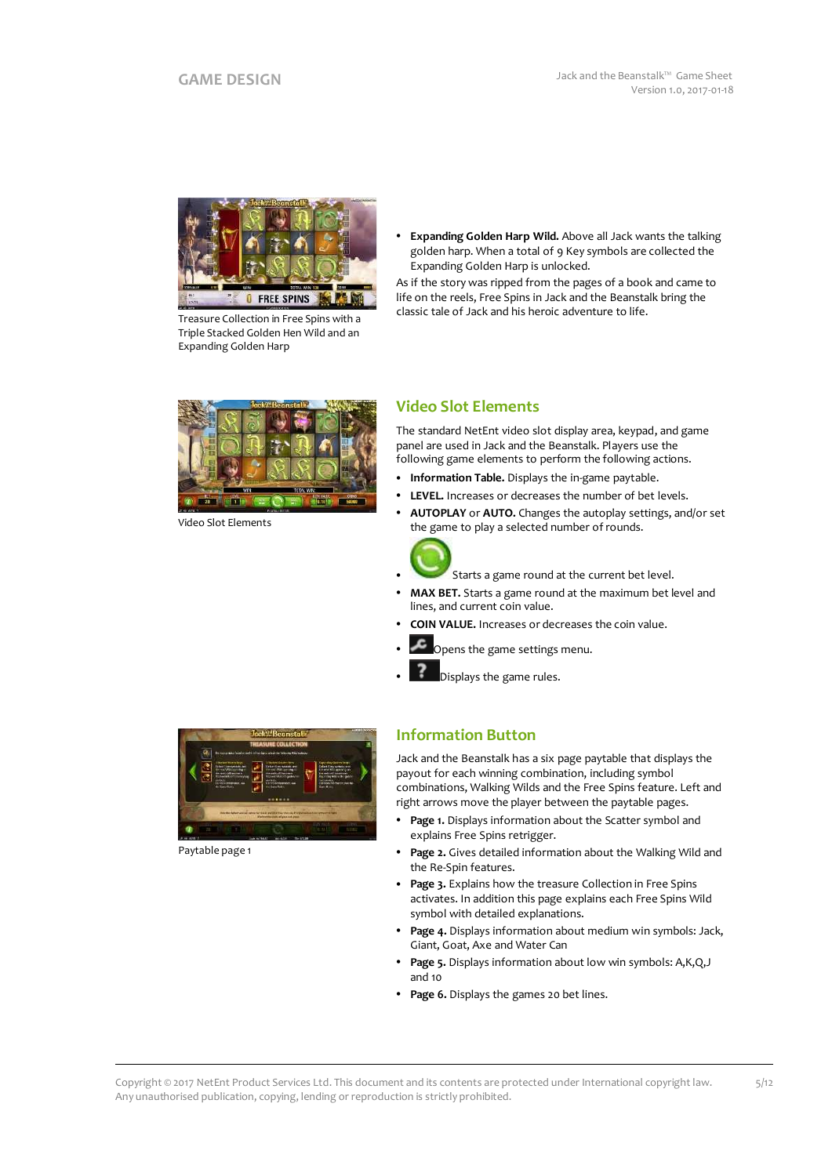

Treasure Collection in Free Spins with a Triple Stacked Golden Hen Wild and an Expanding Golden Harp

 **Expanding Golden Harp Wild.** Above all Jack wants the talking golden harp. When a total of 9 Key symbols are collected the Expanding Golden Harp is unlocked.

As if the story was ripped from the pages of a book and came to life on the reels, Free Spins in Jack and the Beanstalk bring the classic tale of Jack and his heroic adventure to life.



Video Slot Elements

# **Video Slot Elements**

The standard NetEnt video slot display area, keypad, and game panel are used in Jack and the Beanstalk. Players use the following game elements to perform the following actions.

- **Information Table.** Displays the in-game paytable.
- **LEVEL.** Increases or decreases the number of bet levels.
- **AUTOPLAY** or **AUTO.** Changes the autoplay settings, and/or set the game to play a selected number of rounds.



- Starts a game round at the current bet level.
- **MAX BET.** Starts a game round at the maximum bet level and lines, and current coin value.
- **COIN VALUE.** Increases or decreases the coin value.
- Opens the game settings menu.
- Displays the game rules.



Paytable page 1

# **Information Button**

Jack and the Beanstalk has a six page paytable that displays the payout for each winning combination, including symbol combinations, Walking Wilds and the Free Spins feature. Left and right arrows move the player between the paytable pages.

- **Page 1.** Displays information about the Scatter symbol and explains Free Spins retrigger.
- **Page 2.** Gives detailed information about the Walking Wild and the Re-Spin features.
- **Page 3.** Explains how the treasure Collection in Free Spins activates. In addition this page explains each Free Spins Wild symbol with detailed explanations.
- **Page 4.** Displays information about medium win symbols: Jack, Giant, Goat, Axe and Water Can
- **Page 5.** Displays information about low win symbols: A,K,Q,J and 10
- **Page 6.** Displays the games 20 bet lines.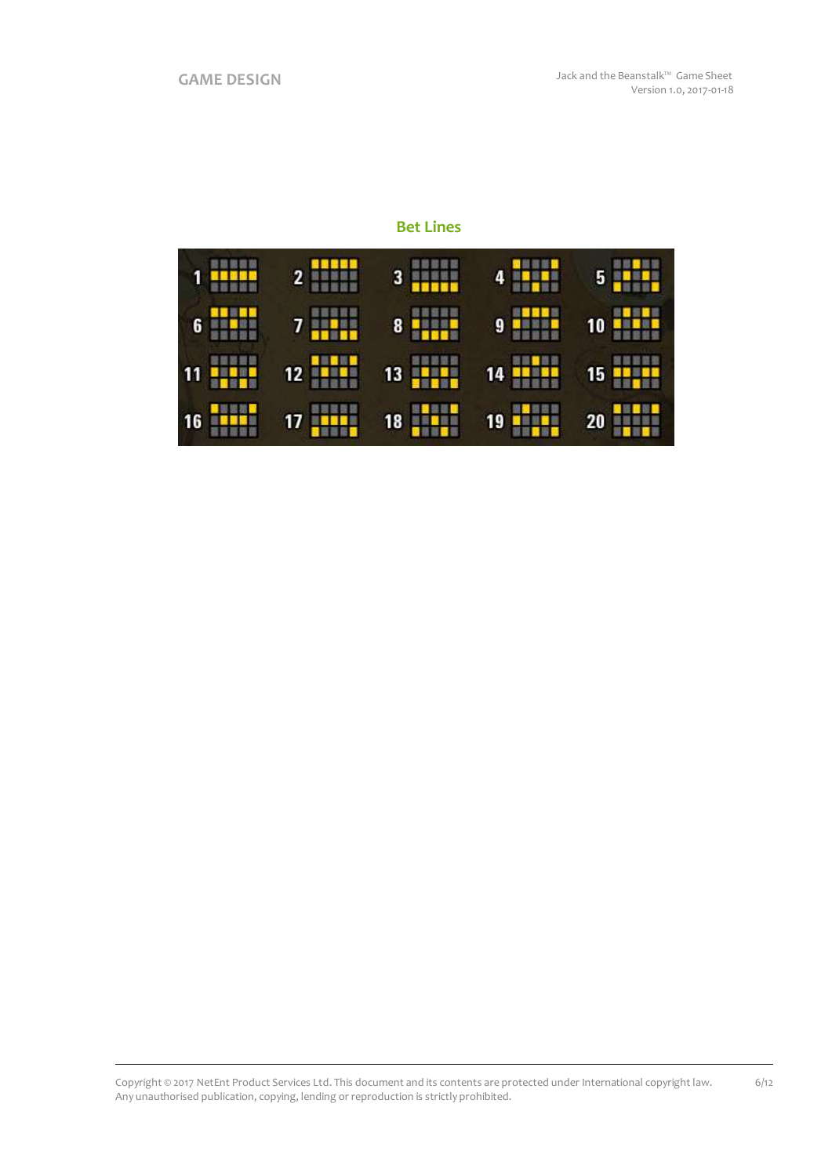6/12

# **Bet Lines**

| 更显现现现                                | $2$ and $\sim$      | 能数数提展           | 4                           | 開題■開題                            |
|--------------------------------------|---------------------|-----------------|-----------------------------|----------------------------------|
| 1 <mark>-----</mark>                 |                     | $3 \frac{1}{2}$ | <b>SHIP</b>                 | $5 - 1$                          |
| 6 <b>10</b>                          | 自言言論論<br>$7 - 1$    | 8 <b>HELE</b>   | 9<br><b>E</b> N 200         | 10 <mark>4 4 2</mark>            |
| 言葉書言語<br><b>THE</b><br>$\mathbf{11}$ | 12<br><b>ALBERT</b> | HH<br>13        | 14<br>a <mark>sebela</mark> | 15 <mark>av<sub>a</sub>ua</mark> |
| 16                                   | HUL                 | 18              | 19                          | 20                               |
| <b>.</b>                             | 17                  | <b>SHIP</b>     | <b>HULL</b>                 | <b>Tara</b>                      |

Copyright © 2017 NetEnt Product Services Ltd. This document and its contents are protected under International copyright law. Any unauthorised publication, copying, lending or reproduction is strictly prohibited.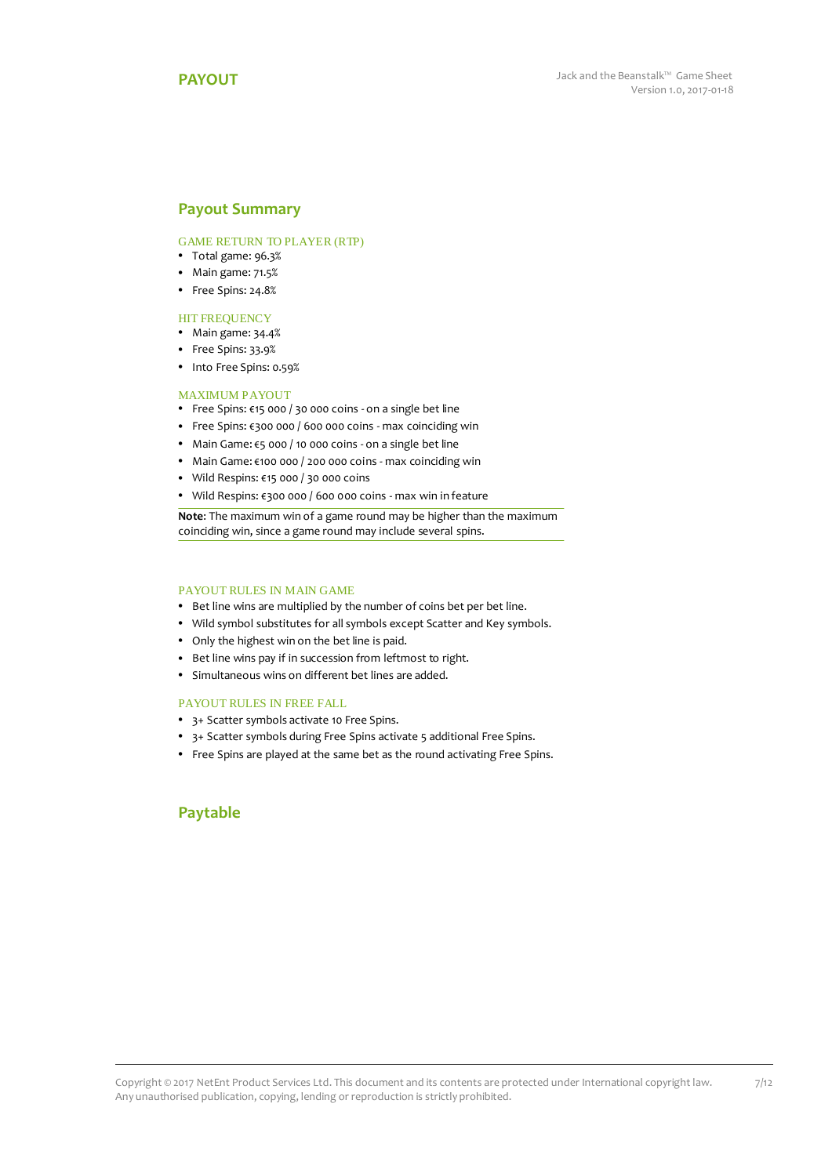### <span id="page-6-0"></span>**Payout Summary**

### GAME RETURN TO PLAYER (RTP)

- Total game: 96.3%
- Main game: 71.5%
- Free Spins: 24.8%

### HIT FREQUENCY

- Main game: 34.4%
- Free Spins: 33.9%
- Into Free Spins: 0.59%

#### MAXIMUM PAYOUT

- Free Spins: €15 000 / 30 000 coins on a single bet line
- Free Spins: €300 000 / 600 000 coins max coinciding win
- Main Game: €5 000 / 10 000 coins on a single bet line
- Main Game: €100 000 / 200 000 coins max coinciding win
- Wild Respins: €15 000 / 30 000 coins
- Wild Respins: €300 000 / 600 000 coins max win in feature

**Note**: The maximum win of a game round may be higher than the maximum coinciding win, since a game round may include several spins.

### PAYOUT RULES IN MAIN GAME

- Bet line wins are multiplied by the number of coins bet per bet line.
- Wild symbol substitutes for all symbols except Scatter and Key symbols.
- Only the highest win on the bet line is paid.
- Bet line wins pay if in succession from leftmost to right.
- Simultaneous wins on different bet lines are added.

### PAYOUT RULES IN FREE FALL

- 3+ Scatter symbols activate 10 Free Spins.
- 3+ Scatter symbols during Free Spins activate 5 additional Free Spins.
- Free Spins are played at the same bet as the round activating Free Spins.

### **Paytable**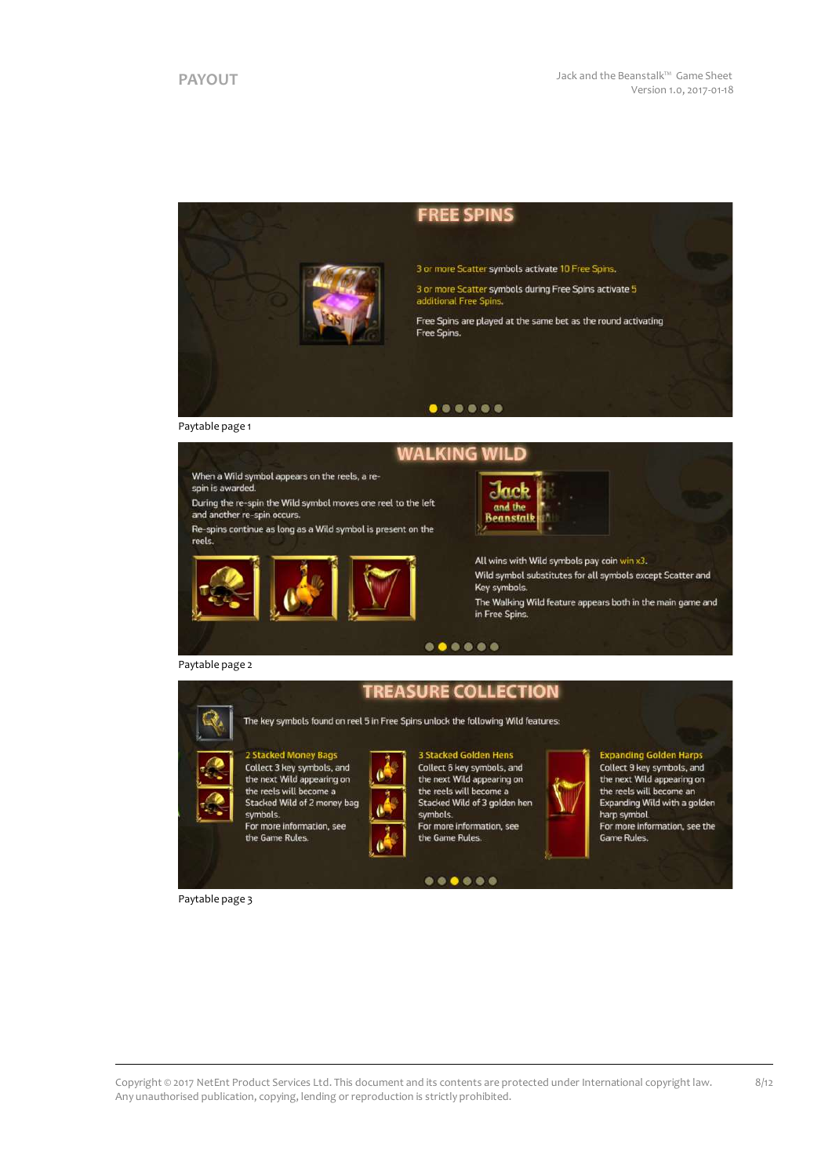



2 Stacked Money Bags<br>Collect 3 key symbols, and<br>the next Wild appearing on the reels will become a Stacked Wild of 2 money bag

For more information, see the Game Rules



 $0.000000$ 

**Expanding Golden Harps**<br>Collect 9 key symbols, and the next Wild appearing on the reels will become an Expanding Wild with a golden harp symbol.

For more information, see the Game Rules

8/12

Paytable page 3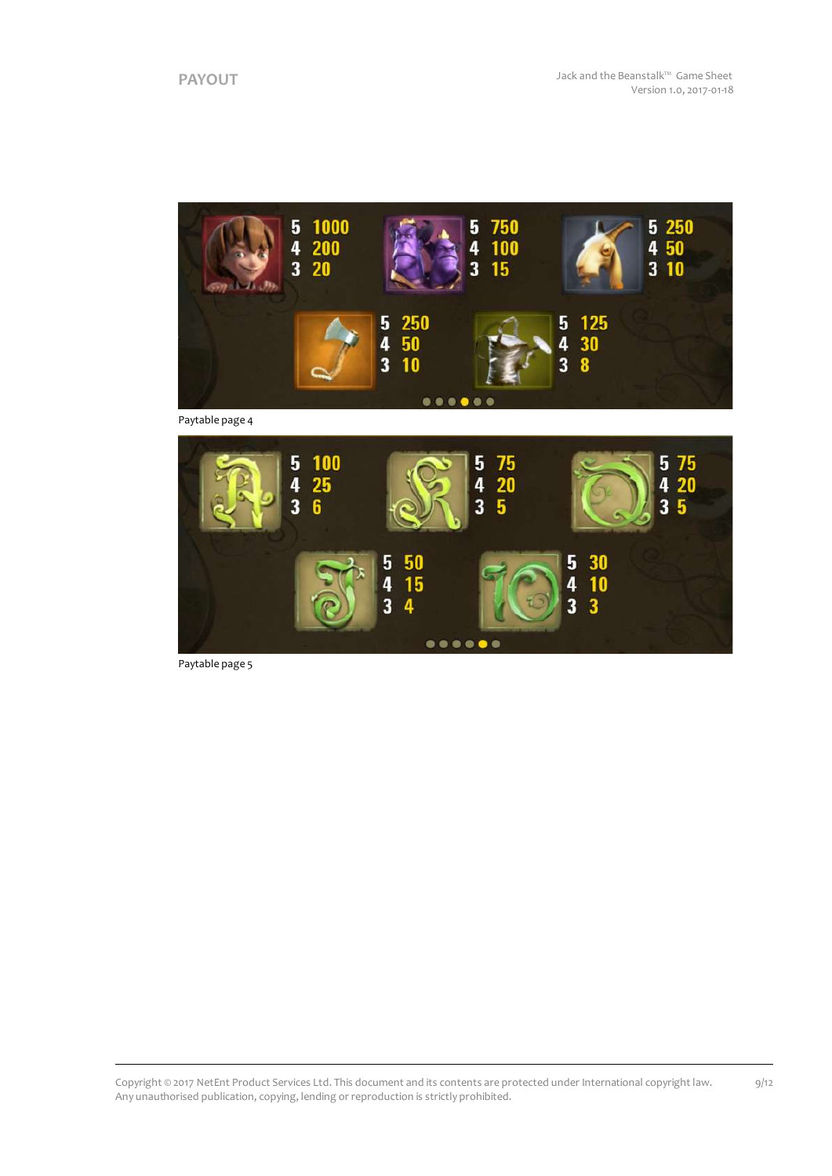

Paytable page 4



Paytable page 5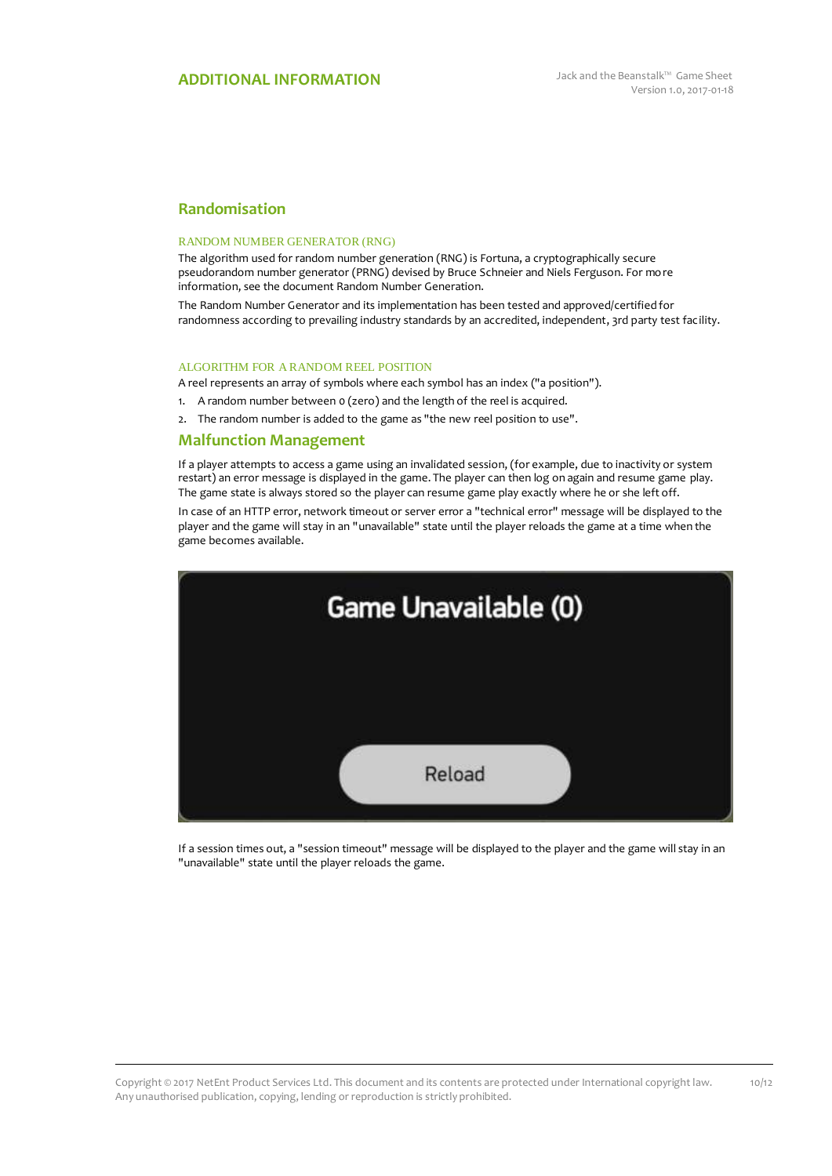# **Randomisation**

#### RANDOM NUMBER GENERATOR (RNG)

The algorithm used for random number generation (RNG) is Fortuna, a cryptographically secure pseudorandom number generator (PRNG) devised by Bruce Schneier and Niels Ferguson. For more information, see the document Random Number Generation.

The Random Number Generator and its implementation has been tested and approved/certified for randomness according to prevailing industry standards by an accredited, independent, 3rd party test facility.

### ALGORITHM FOR A RANDOM REEL POSITION

A reel represents an array of symbols where each symbol has an index ("a position").

- 1. A random number between 0 (zero) and the length of the reel is acquired.
- 2. The random number is added to the game as "the new reel position to use".

### **Malfunction Management**

If a player attempts to access a game using an invalidated session, (for example, due to inactivity or system restart) an error message is displayed in the game. The player can then log on again and resume game play. The game state is always stored so the player can resume game play exactly where he or she left off.

In case of an HTTP error, network timeout or server error a "technical error" message will be displayed to the player and the game will stay in an "unavailable" state until the player reloads the game at a time when the game becomes available.



If a session times out, a "session timeout" message will be displayed to the player and the game will stay in an "unavailable" state until the player reloads the game.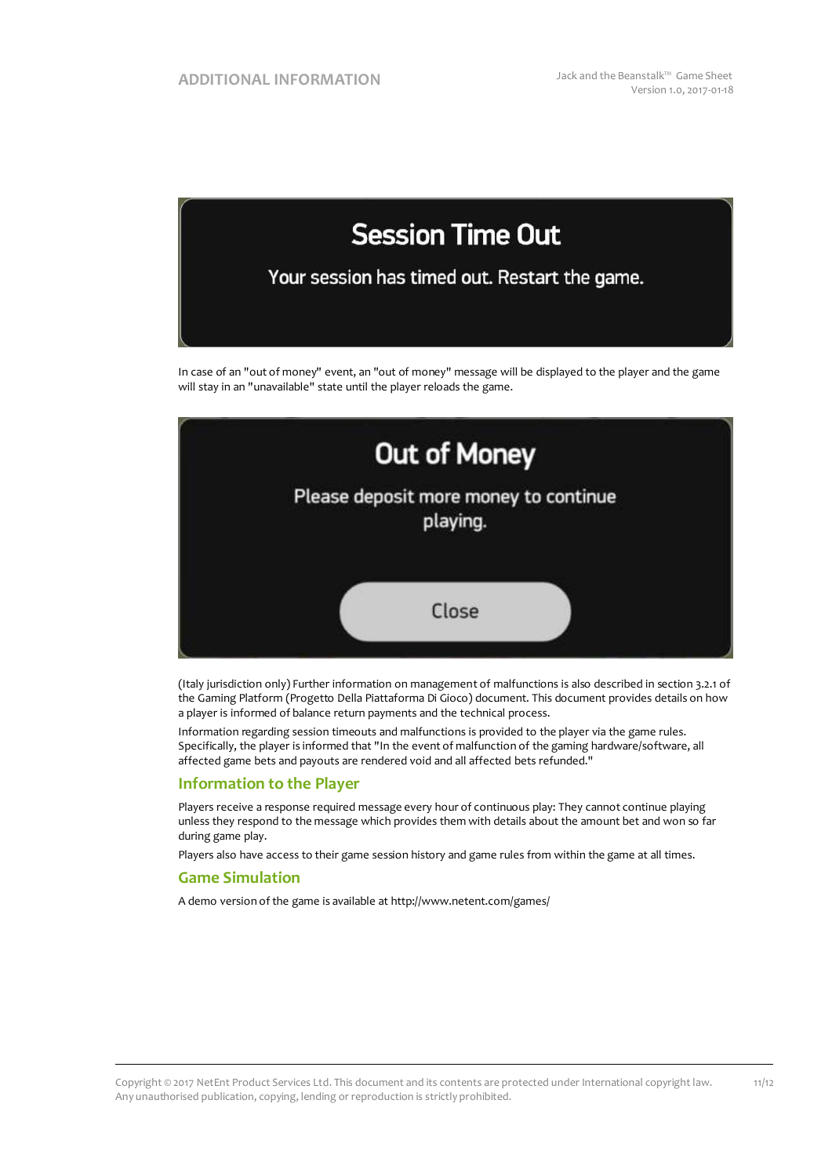

In case of an "out of money" event, an "out of money" message will be displayed to the player and the game will stay in an "unavailable" state until the player reloads the game.



(Italy jurisdiction only) Further information on management of malfunctions is also described in section 3.2.1 of the Gaming Platform (Progetto Della Piattaforma Di Gioco) document. This document provides details on how a player is informed of balance return payments and the technical process.

Information regarding session timeouts and malfunctions is provided to the player via the game rules. Specifically, the player is informed that "In the event of malfunction of the gaming hardware/software, all affected game bets and payouts are rendered void and all affected bets refunded."

### **Information to the Player**

Players receive a response required message every hour of continuous play: They cannot continue playing unless they respond to the message which provides them with details about the amount bet and won so far during game play.

Players also have access to their game session history and game rules from within the game at all times.

### **Game Simulation**

A demo version of the game is available at http://www.netent.com/games/